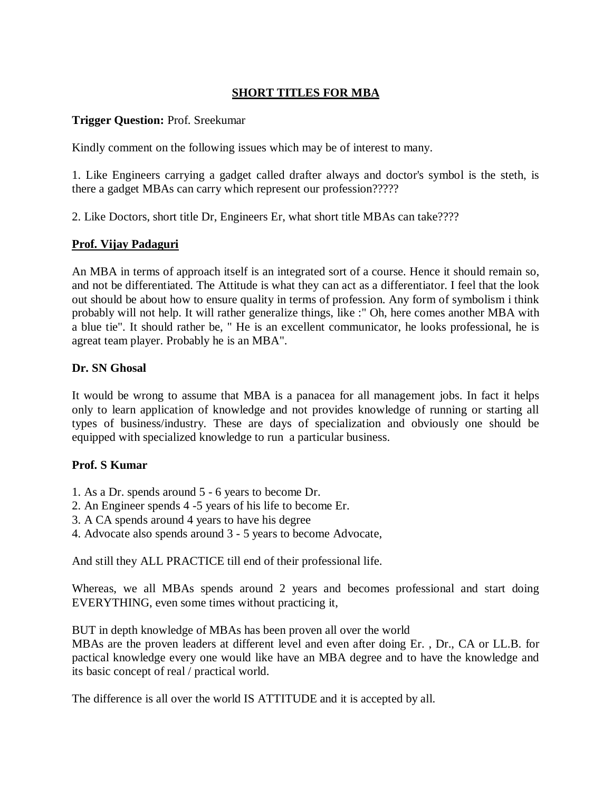# **SHORT TITLES FOR MBA**

## **Trigger Question:** Prof. Sreekumar

Kindly comment on the following issues which may be of interest to many.

1. Like Engineers carrying a gadget called drafter always and doctor's symbol is the steth, is there a gadget MBAs can carry which represent our profession?????

2. Like Doctors, short title Dr, Engineers Er, what short title MBAs can take????

## **Prof. Vijay Padaguri**

An MBA in terms of approach itself is an integrated sort of a course. Hence it should remain so, and not be differentiated. The Attitude is what they can act as a differentiator. I feel that the look out should be about how to ensure quality in terms of profession. Any form of symbolism i think probably will not help. It will rather generalize things, like :" Oh, here comes another MBA with a blue tie". It should rather be, " He is an excellent communicator, he looks professional, he is agreat team player. Probably he is an MBA".

## **Dr. SN Ghosal**

It would be wrong to assume that MBA is a panacea for all management jobs. In fact it helps only to learn application of knowledge and not provides knowledge of running or starting all types of business/industry. These are days of specialization and obviously one should be equipped with specialized knowledge to run a particular business.

### **Prof. S Kumar**

- 1. As a Dr. spends around 5 6 years to become Dr.
- 2. An Engineer spends 4 -5 years of his life to become Er.
- 3. A CA spends around 4 years to have his degree
- 4. Advocate also spends around 3 5 years to become Advocate,

And still they ALL PRACTICE till end of their professional life.

Whereas, we all MBAs spends around 2 years and becomes professional and start doing EVERYTHING, even some times without practicing it,

BUT in depth knowledge of MBAs has been proven all over the world

MBAs are the proven leaders at different level and even after doing Er. , Dr., CA or LL.B. for pactical knowledge every one would like have an MBA degree and to have the knowledge and its basic concept of real / practical world.

The difference is all over the world IS ATTITUDE and it is accepted by all.